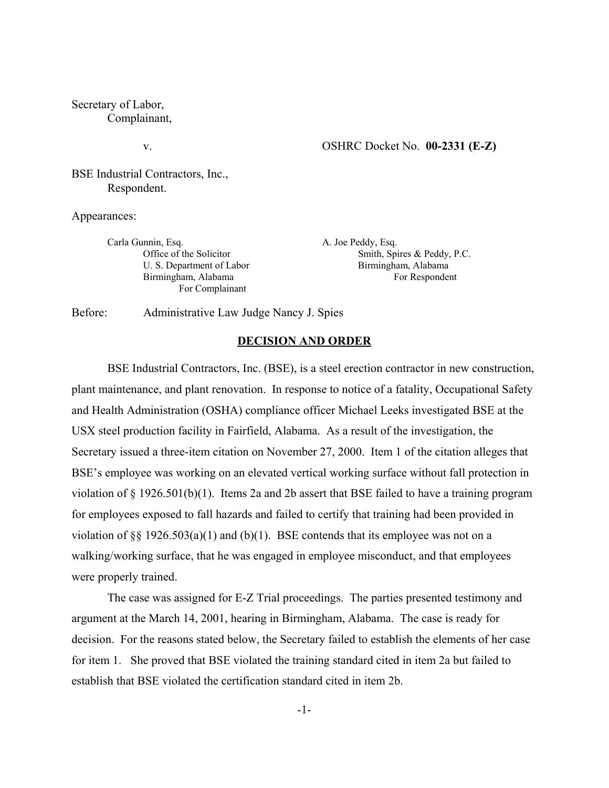Secretary of Labor, Complainant,

v.

BSE Industrial Contractors, Inc., Respondent.

Appearances:

Carla Gunnin, Esq. Office of the Solicitor U. S. Department of Labor Birmingham, Alabama For Complainant

A. Joe Peddy, Esq. Smith, Spires & Peddy, P.C. Birmingham, Alabama For Respondent

Before: Administrative Law Judge Nancy J. Spies

#### **DECISION AND ORDER**

BSE Industrial Contractors, Inc. (BSE), is a steel erection contractor in new construction, plant maintenance, and plant renovation. In response to notice of a fatality, Occupational Safety and Health Administration (OSHA) compliance officer Michael Leeks investigated BSE at the USX steel production facility in Fairfield, Alabama. As a result of the investigation, the Secretary issued a three-item citation on November 27, 2000. Item 1 of the citation alleges that BSE's employee was working on an elevated vertical working surface without fall protection in violation of  $\S$  1926.501(b)(1). Items 2a and 2b assert that BSE failed to have a training program for employees exposed to fall hazards and failed to certify that training had been provided in violation of  $\S$ § 1926.503(a)(1) and (b)(1). BSE contends that its employee was not on a walking/working surface, that he was engaged in employee misconduct, and that employees were properly trained.

The case was assigned for E-Z Trial proceedings. The parties presented testimony and argument at the March 14, 2001, hearing in Birmingham, Alabama. The case is ready for decision. For the reasons stated below, the Secretary failed to establish the elements of her case for item 1. She proved that BSE violated the training standard cited in item 2a but failed to establish that BSE violated the certification standard cited in item 2b.

-1-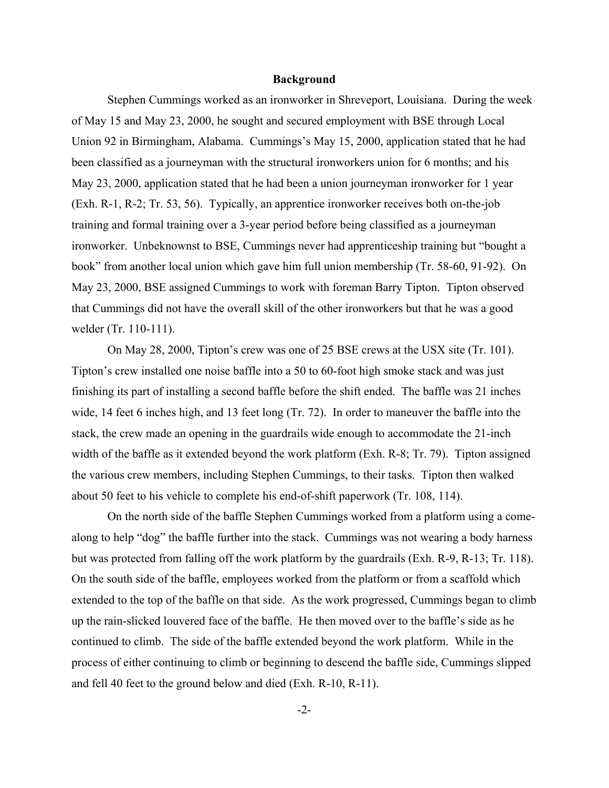### **Background**

Stephen Cummings worked as an ironworker in Shreveport, Louisiana. During the week of May 15 and May 23, 2000, he sought and secured employment with BSE through Local Union 92 in Birmingham, Alabama. Cummings's May 15, 2000, application stated that he had been classified as a journeyman with the structural ironworkers union for 6 months; and his May 23, 2000, application stated that he had been a union journeyman ironworker for 1 year (Exh. R-1, R-2; Tr. 53, 56). Typically, an apprentice ironworker receives both on-the-job training and formal training over a 3-year period before being classified as a journeyman ironworker. Unbeknownst to BSE, Cummings never had apprenticeship training but "bought a book" from another local union which gave him full union membership (Tr. 58-60, 91-92). On May 23, 2000, BSE assigned Cummings to work with foreman Barry Tipton. Tipton observed that Cummings did not have the overall skill of the other ironworkers but that he was a good welder (Tr. 110-111).

On May 28, 2000, Tipton's crew was one of 25 BSE crews at the USX site (Tr. 101). Tipton's crew installed one noise baffle into a 50 to 60-foot high smoke stack and was just finishing its part of installing a second baffle before the shift ended. The baffle was 21 inches wide, 14 feet 6 inches high, and 13 feet long (Tr. 72). In order to maneuver the baffle into the stack, the crew made an opening in the guardrails wide enough to accommodate the 21-inch width of the baffle as it extended beyond the work platform (Exh. R-8; Tr. 79). Tipton assigned the various crew members, including Stephen Cummings, to their tasks. Tipton then walked about 50 feet to his vehicle to complete his end-of-shift paperwork (Tr. 108, 114).

On the north side of the baffle Stephen Cummings worked from a platform using a comealong to help "dog" the baffle further into the stack. Cummings was not wearing a body harness but was protected from falling off the work platform by the guardrails (Exh. R-9, R-13; Tr. 118). On the south side of the baffle, employees worked from the platform or from a scaffold which extended to the top of the baffle on that side. As the work progressed, Cummings began to climb up the rain-slicked louvered face of the baffle. He then moved over to the baffle's side as he continued to climb. The side of the baffle extended beyond the work platform. While in the process of either continuing to climb or beginning to descend the baffle side, Cummings slipped and fell 40 feet to the ground below and died (Exh. R-10, R-11).

-2-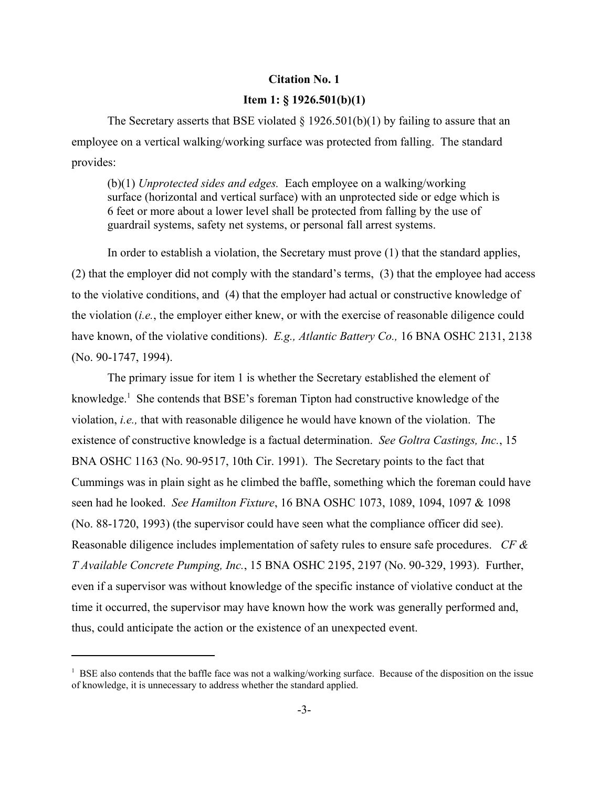### **Citation No. 1**

## **Item 1: § 1926.501(b)(1)**

The Secretary asserts that BSE violated  $\S$  1926.501(b)(1) by failing to assure that an employee on a vertical walking/working surface was protected from falling. The standard provides:

(b)(1) *Unprotected sides and edges.* Each employee on a walking/working surface (horizontal and vertical surface) with an unprotected side or edge which is 6 feet or more about a lower level shall be protected from falling by the use of guardrail systems, safety net systems, or personal fall arrest systems.

In order to establish a violation, the Secretary must prove (1) that the standard applies, (2) that the employer did not comply with the standard's terms, (3) that the employee had access to the violative conditions, and (4) that the employer had actual or constructive knowledge of the violation (*i.e.*, the employer either knew, or with the exercise of reasonable diligence could have known, of the violative conditions). *E.g., Atlantic Battery Co.,* 16 BNA OSHC 2131, 2138 (No. 90-1747, 1994).

The primary issue for item 1 is whether the Secretary established the element of knowledge.<sup>1</sup> She contends that BSE's foreman Tipton had constructive knowledge of the violation, *i.e.,* that with reasonable diligence he would have known of the violation. The existence of constructive knowledge is a factual determination. *See Goltra Castings, Inc.*, 15 BNA OSHC 1163 (No. 90-9517, 10th Cir. 1991). The Secretary points to the fact that Cummings was in plain sight as he climbed the baffle, something which the foreman could have seen had he looked. *See Hamilton Fixture*, 16 BNA OSHC 1073, 1089, 1094, 1097 & 1098 (No. 88-1720, 1993) (the supervisor could have seen what the compliance officer did see). Reasonable diligence includes implementation of safety rules to ensure safe procedures. *CF & T Available Concrete Pumping, Inc.*, 15 BNA OSHC 2195, 2197 (No. 90-329, 1993). Further, even if a supervisor was without knowledge of the specific instance of violative conduct at the time it occurred, the supervisor may have known how the work was generally performed and, thus, could anticipate the action or the existence of an unexpected event.

<sup>&</sup>lt;sup>1</sup> BSE also contends that the baffle face was not a walking/working surface. Because of the disposition on the issue of knowledge, it is unnecessary to address whether the standard applied.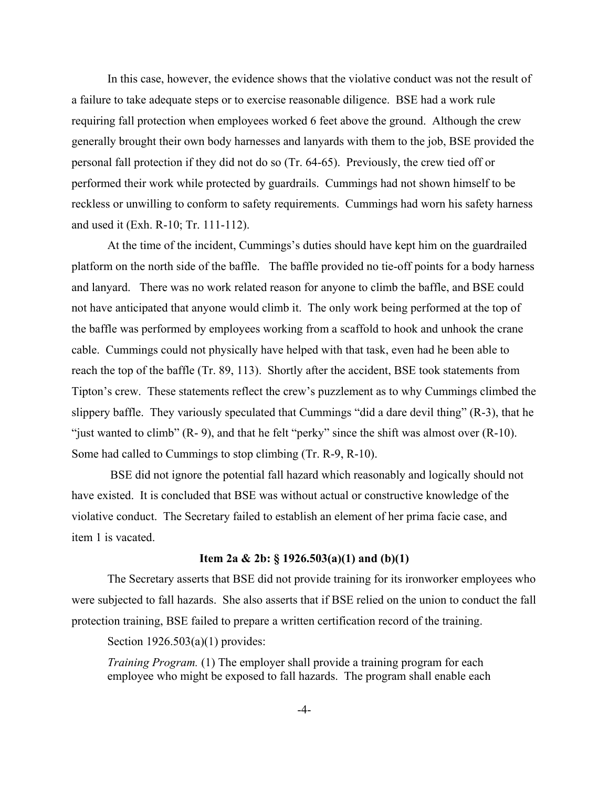In this case, however, the evidence shows that the violative conduct was not the result of a failure to take adequate steps or to exercise reasonable diligence. BSE had a work rule requiring fall protection when employees worked 6 feet above the ground. Although the crew generally brought their own body harnesses and lanyards with them to the job, BSE provided the personal fall protection if they did not do so (Tr. 64-65). Previously, the crew tied off or performed their work while protected by guardrails. Cummings had not shown himself to be reckless or unwilling to conform to safety requirements. Cummings had worn his safety harness and used it (Exh. R-10; Tr. 111-112).

At the time of the incident, Cummings's duties should have kept him on the guardrailed platform on the north side of the baffle. The baffle provided no tie-off points for a body harness and lanyard. There was no work related reason for anyone to climb the baffle, and BSE could not have anticipated that anyone would climb it. The only work being performed at the top of the baffle was performed by employees working from a scaffold to hook and unhook the crane cable. Cummings could not physically have helped with that task, even had he been able to reach the top of the baffle (Tr. 89, 113). Shortly after the accident, BSE took statements from Tipton's crew. These statements reflect the crew's puzzlement as to why Cummings climbed the slippery baffle. They variously speculated that Cummings "did a dare devil thing" (R-3), that he "just wanted to climb" (R- 9), and that he felt "perky" since the shift was almost over (R-10). Some had called to Cummings to stop climbing (Tr. R-9, R-10).

BSE did not ignore the potential fall hazard which reasonably and logically should not have existed. It is concluded that BSE was without actual or constructive knowledge of the violative conduct. The Secretary failed to establish an element of her prima facie case, and item 1 is vacated.

# **Item 2a & 2b: § 1926.503(a)(1) and (b)(1)**

The Secretary asserts that BSE did not provide training for its ironworker employees who were subjected to fall hazards. She also asserts that if BSE relied on the union to conduct the fall protection training, BSE failed to prepare a written certification record of the training.

Section 1926.503(a)(1) provides:

*Training Program.* (1) The employer shall provide a training program for each employee who might be exposed to fall hazards. The program shall enable each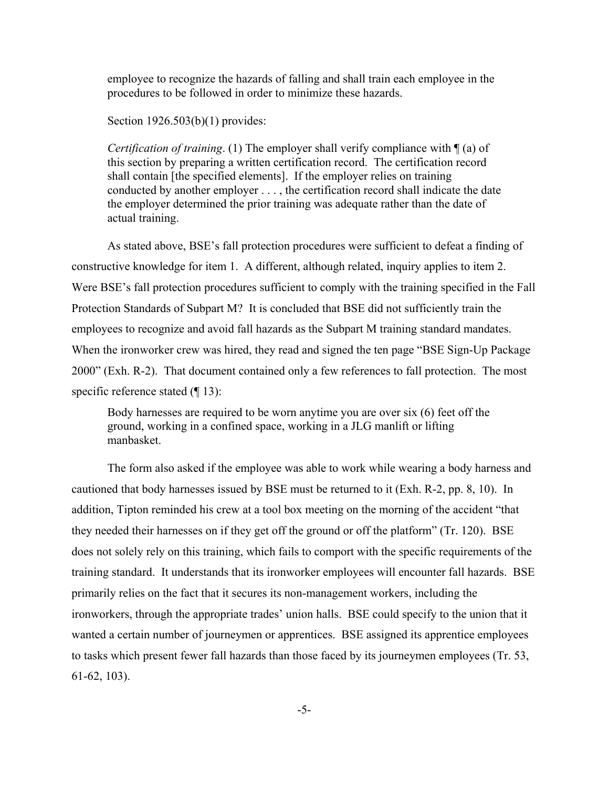employee to recognize the hazards of falling and shall train each employee in the procedures to be followed in order to minimize these hazards.

Section 1926.503(b)(1) provides:

*Certification of training*. (1) The employer shall verify compliance with ¶ (a) of this section by preparing a written certification record. The certification record shall contain [the specified elements]. If the employer relies on training conducted by another employer . . . , the certification record shall indicate the date the employer determined the prior training was adequate rather than the date of actual training.

As stated above, BSE's fall protection procedures were sufficient to defeat a finding of constructive knowledge for item 1. A different, although related, inquiry applies to item 2. Were BSE's fall protection procedures sufficient to comply with the training specified in the Fall Protection Standards of Subpart M? It is concluded that BSE did not sufficiently train the employees to recognize and avoid fall hazards as the Subpart M training standard mandates. When the ironworker crew was hired, they read and signed the ten page "BSE Sign-Up Package 2000" (Exh. R-2). That document contained only a few references to fall protection. The most specific reference stated (¶ 13):

Body harnesses are required to be worn anytime you are over six (6) feet off the ground, working in a confined space, working in a JLG manlift or lifting manbasket.

The form also asked if the employee was able to work while wearing a body harness and cautioned that body harnesses issued by BSE must be returned to it (Exh. R-2, pp. 8, 10). In addition, Tipton reminded his crew at a tool box meeting on the morning of the accident "that they needed their harnesses on if they get off the ground or off the platform" (Tr. 120). BSE does not solely rely on this training, which fails to comport with the specific requirements of the training standard. It understands that its ironworker employees will encounter fall hazards. BSE primarily relies on the fact that it secures its non-management workers, including the ironworkers, through the appropriate trades' union halls. BSE could specify to the union that it wanted a certain number of journeymen or apprentices. BSE assigned its apprentice employees to tasks which present fewer fall hazards than those faced by its journeymen employees (Tr. 53, 61-62, 103).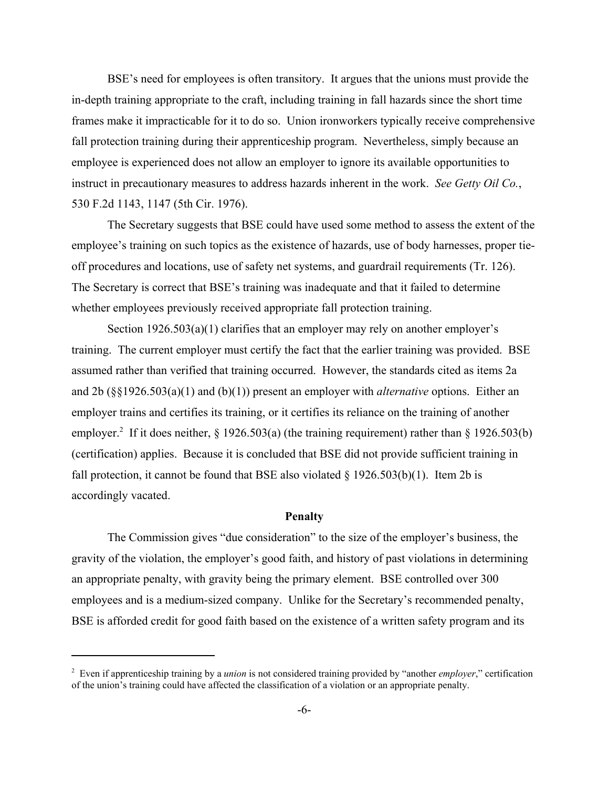BSE's need for employees is often transitory. It argues that the unions must provide the in-depth training appropriate to the craft, including training in fall hazards since the short time frames make it impracticable for it to do so. Union ironworkers typically receive comprehensive fall protection training during their apprenticeship program. Nevertheless, simply because an employee is experienced does not allow an employer to ignore its available opportunities to instruct in precautionary measures to address hazards inherent in the work. *See Getty Oil Co.*, 530 F.2d 1143, 1147 (5th Cir. 1976).

The Secretary suggests that BSE could have used some method to assess the extent of the employee's training on such topics as the existence of hazards, use of body harnesses, proper tieoff procedures and locations, use of safety net systems, and guardrail requirements (Tr. 126). The Secretary is correct that BSE's training was inadequate and that it failed to determine whether employees previously received appropriate fall protection training.

Section 1926.503(a)(1) clarifies that an employer may rely on another employer's training. The current employer must certify the fact that the earlier training was provided. BSE assumed rather than verified that training occurred. However, the standards cited as items 2a and 2b (§§1926.503(a)(1) and (b)(1)) present an employer with *alternative* options. Either an employer trains and certifies its training, or it certifies its reliance on the training of another employer.<sup>2</sup> If it does neither,  $\S$  1926.503(a) (the training requirement) rather than  $\S$  1926.503(b) (certification) applies. Because it is concluded that BSE did not provide sufficient training in fall protection, it cannot be found that BSE also violated  $\S 1926.503(b)(1)$ . Item 2b is accordingly vacated.

### **Penalty**

The Commission gives "due consideration" to the size of the employer's business, the gravity of the violation, the employer's good faith, and history of past violations in determining an appropriate penalty, with gravity being the primary element. BSE controlled over 300 employees and is a medium-sized company. Unlike for the Secretary's recommended penalty, BSE is afforded credit for good faith based on the existence of a written safety program and its

<sup>2</sup> Even if apprenticeship training by a *union* is not considered training provided by "another *employer*," certification of the union's training could have affected the classification of a violation or an appropriate penalty.